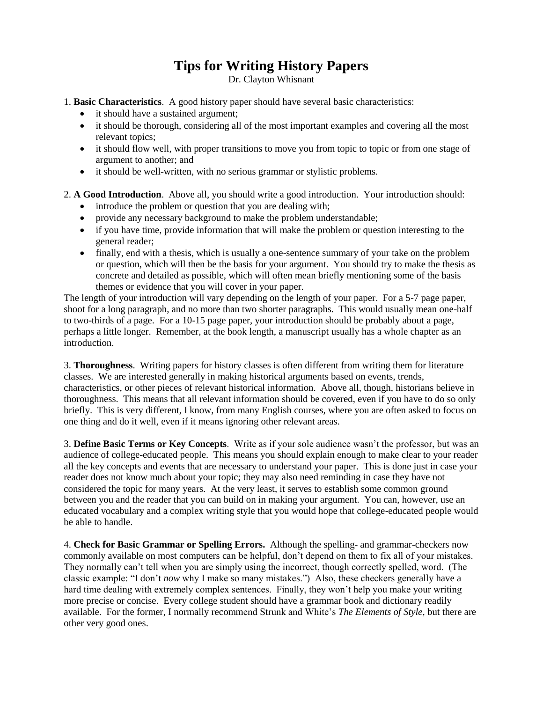## **Tips for Writing History Papers**

Dr. Clayton Whisnant

1. **Basic Characteristics**. A good history paper should have several basic characteristics:

- it should have a sustained argument;
- it should be thorough, considering all of the most important examples and covering all the most relevant topics;
- it should flow well, with proper transitions to move you from topic to topic or from one stage of argument to another; and
- it should be well-written, with no serious grammar or stylistic problems.

2. **A Good Introduction**. Above all, you should write a good introduction. Your introduction should:

- introduce the problem or question that you are dealing with;
- provide any necessary background to make the problem understandable;
- if you have time, provide information that will make the problem or question interesting to the general reader;
- finally, end with a thesis, which is usually a one-sentence summary of your take on the problem or question, which will then be the basis for your argument. You should try to make the thesis as concrete and detailed as possible, which will often mean briefly mentioning some of the basis themes or evidence that you will cover in your paper.

The length of your introduction will vary depending on the length of your paper. For a 5-7 page paper, shoot for a long paragraph, and no more than two shorter paragraphs. This would usually mean one-half to two-thirds of a page. For a 10-15 page paper, your introduction should be probably about a page, perhaps a little longer. Remember, at the book length, a manuscript usually has a whole chapter as an introduction.

3. **Thoroughness**. Writing papers for history classes is often different from writing them for literature classes. We are interested generally in making historical arguments based on events, trends, characteristics, or other pieces of relevant historical information. Above all, though, historians believe in thoroughness. This means that all relevant information should be covered, even if you have to do so only briefly. This is very different, I know, from many English courses, where you are often asked to focus on one thing and do it well, even if it means ignoring other relevant areas.

3. **Define Basic Terms or Key Concepts**. Write as if your sole audience wasn't the professor, but was an audience of college-educated people. This means you should explain enough to make clear to your reader all the key concepts and events that are necessary to understand your paper. This is done just in case your reader does not know much about your topic; they may also need reminding in case they have not considered the topic for many years. At the very least, it serves to establish some common ground between you and the reader that you can build on in making your argument. You can, however, use an educated vocabulary and a complex writing style that you would hope that college-educated people would be able to handle.

4. **Check for Basic Grammar or Spelling Errors.** Although the spelling- and grammar-checkers now commonly available on most computers can be helpful, don't depend on them to fix all of your mistakes. They normally can't tell when you are simply using the incorrect, though correctly spelled, word. (The classic example: "I don't *now* why I make so many mistakes.") Also, these checkers generally have a hard time dealing with extremely complex sentences. Finally, they won't help you make your writing more precise or concise. Every college student should have a grammar book and dictionary readily available. For the former, I normally recommend Strunk and White's *The Elements of Style*, but there are other very good ones.